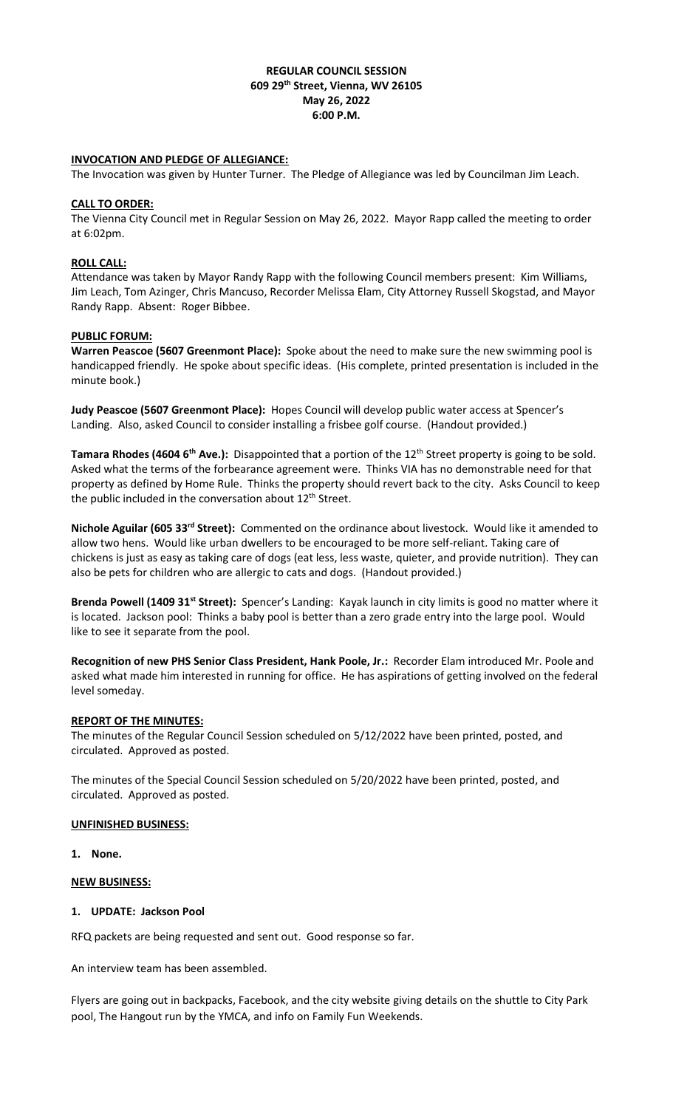### **REGULAR COUNCIL SESSION 609 29th Street, Vienna, WV 26105 May 26, 2022 6:00 P.M.**

### **INVOCATION AND PLEDGE OF ALLEGIANCE:**

The Invocation was given by Hunter Turner. The Pledge of Allegiance was led by Councilman Jim Leach.

### **CALL TO ORDER:**

The Vienna City Council met in Regular Session on May 26, 2022. Mayor Rapp called the meeting to order at 6:02pm.

### **ROLL CALL:**

Attendance was taken by Mayor Randy Rapp with the following Council members present: Kim Williams, Jim Leach, Tom Azinger, Chris Mancuso, Recorder Melissa Elam, City Attorney Russell Skogstad, and Mayor Randy Rapp. Absent: Roger Bibbee.

## **PUBLIC FORUM:**

**Warren Peascoe (5607 Greenmont Place):** Spoke about the need to make sure the new swimming pool is handicapped friendly. He spoke about specific ideas. (His complete, printed presentation is included in the minute book.)

**Judy Peascoe (5607 Greenmont Place):** Hopes Council will develop public water access at Spencer's Landing. Also, asked Council to consider installing a frisbee golf course. (Handout provided.)

**Tamara Rhodes (4604 6<sup>th</sup> Ave.):** Disappointed that a portion of the 12<sup>th</sup> Street property is going to be sold. Asked what the terms of the forbearance agreement were. Thinks VIA has no demonstrable need for that property as defined by Home Rule. Thinks the property should revert back to the city. Asks Council to keep the public included in the conversation about 12<sup>th</sup> Street.

**Nichole Aguilar (605 33rd Street):** Commented on the ordinance about livestock. Would like it amended to allow two hens. Would like urban dwellers to be encouraged to be more self-reliant. Taking care of chickens is just as easy as taking care of dogs (eat less, less waste, quieter, and provide nutrition). They can also be pets for children who are allergic to cats and dogs. (Handout provided.)

**Brenda Powell (1409 31st Street):** Spencer's Landing: Kayak launch in city limits is good no matter where it is located. Jackson pool: Thinks a baby pool is better than a zero grade entry into the large pool. Would like to see it separate from the pool.

**Recognition of new PHS Senior Class President, Hank Poole, Jr.:** Recorder Elam introduced Mr. Poole and asked what made him interested in running for office. He has aspirations of getting involved on the federal level someday.

### **REPORT OF THE MINUTES:**

The minutes of the Regular Council Session scheduled on 5/12/2022 have been printed, posted, and circulated. Approved as posted.

The minutes of the Special Council Session scheduled on 5/20/2022 have been printed, posted, and circulated. Approved as posted.

### **UNFINISHED BUSINESS:**

**1. None.**

**NEW BUSINESS:**

# **1. UPDATE: Jackson Pool**

RFQ packets are being requested and sent out. Good response so far.

An interview team has been assembled.

Flyers are going out in backpacks, Facebook, and the city website giving details on the shuttle to City Park pool, The Hangout run by the YMCA, and info on Family Fun Weekends.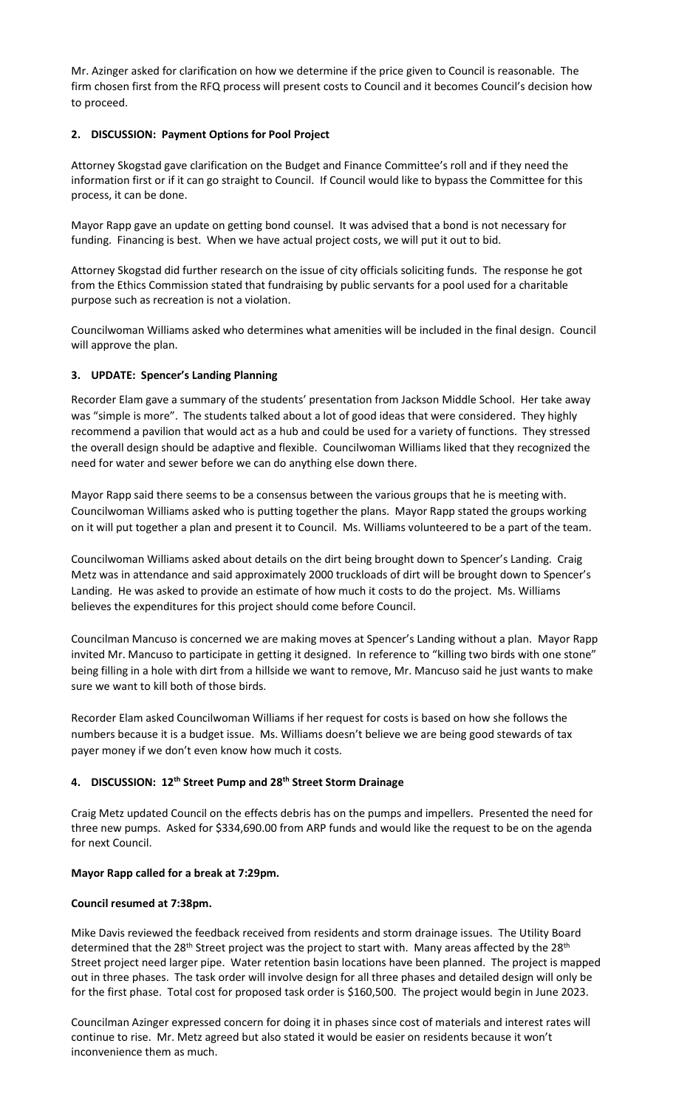Mr. Azinger asked for clarification on how we determine if the price given to Council is reasonable. The firm chosen first from the RFQ process will present costs to Council and it becomes Council's decision how to proceed.

## **2. DISCUSSION: Payment Options for Pool Project**

Attorney Skogstad gave clarification on the Budget and Finance Committee's roll and if they need the information first or if it can go straight to Council. If Council would like to bypass the Committee for this process, it can be done.

Mayor Rapp gave an update on getting bond counsel. It was advised that a bond is not necessary for funding. Financing is best. When we have actual project costs, we will put it out to bid.

Attorney Skogstad did further research on the issue of city officials soliciting funds. The response he got from the Ethics Commission stated that fundraising by public servants for a pool used for a charitable purpose such as recreation is not a violation.

Councilwoman Williams asked who determines what amenities will be included in the final design. Council will approve the plan.

# **3. UPDATE: Spencer's Landing Planning**

Recorder Elam gave a summary of the students' presentation from Jackson Middle School. Her take away was "simple is more". The students talked about a lot of good ideas that were considered. They highly recommend a pavilion that would act as a hub and could be used for a variety of functions. They stressed the overall design should be adaptive and flexible. Councilwoman Williams liked that they recognized the need for water and sewer before we can do anything else down there.

Mayor Rapp said there seems to be a consensus between the various groups that he is meeting with. Councilwoman Williams asked who is putting together the plans. Mayor Rapp stated the groups working on it will put together a plan and present it to Council. Ms. Williams volunteered to be a part of the team.

Councilwoman Williams asked about details on the dirt being brought down to Spencer's Landing. Craig Metz was in attendance and said approximately 2000 truckloads of dirt will be brought down to Spencer's Landing. He was asked to provide an estimate of how much it costs to do the project. Ms. Williams believes the expenditures for this project should come before Council.

Councilman Mancuso is concerned we are making moves at Spencer's Landing without a plan. Mayor Rapp invited Mr. Mancuso to participate in getting it designed. In reference to "killing two birds with one stone" being filling in a hole with dirt from a hillside we want to remove, Mr. Mancuso said he just wants to make sure we want to kill both of those birds.

Recorder Elam asked Councilwoman Williams if her request for costs is based on how she follows the numbers because it is a budget issue. Ms. Williams doesn't believe we are being good stewards of tax payer money if we don't even know how much it costs.

### **4. DISCUSSION: 12th Street Pump and 28th Street Storm Drainage**

Craig Metz updated Council on the effects debris has on the pumps and impellers. Presented the need for three new pumps. Asked for \$334,690.00 from ARP funds and would like the request to be on the agenda for next Council.

### **Mayor Rapp called for a break at 7:29pm.**

# **Council resumed at 7:38pm.**

Mike Davis reviewed the feedback received from residents and storm drainage issues. The Utility Board determined that the 28<sup>th</sup> Street project was the project to start with. Many areas affected by the 28<sup>th</sup> Street project need larger pipe. Water retention basin locations have been planned. The project is mapped out in three phases. The task order will involve design for all three phases and detailed design will only be for the first phase. Total cost for proposed task order is \$160,500. The project would begin in June 2023.

Councilman Azinger expressed concern for doing it in phases since cost of materials and interest rates will continue to rise. Mr. Metz agreed but also stated it would be easier on residents because it won't inconvenience them as much.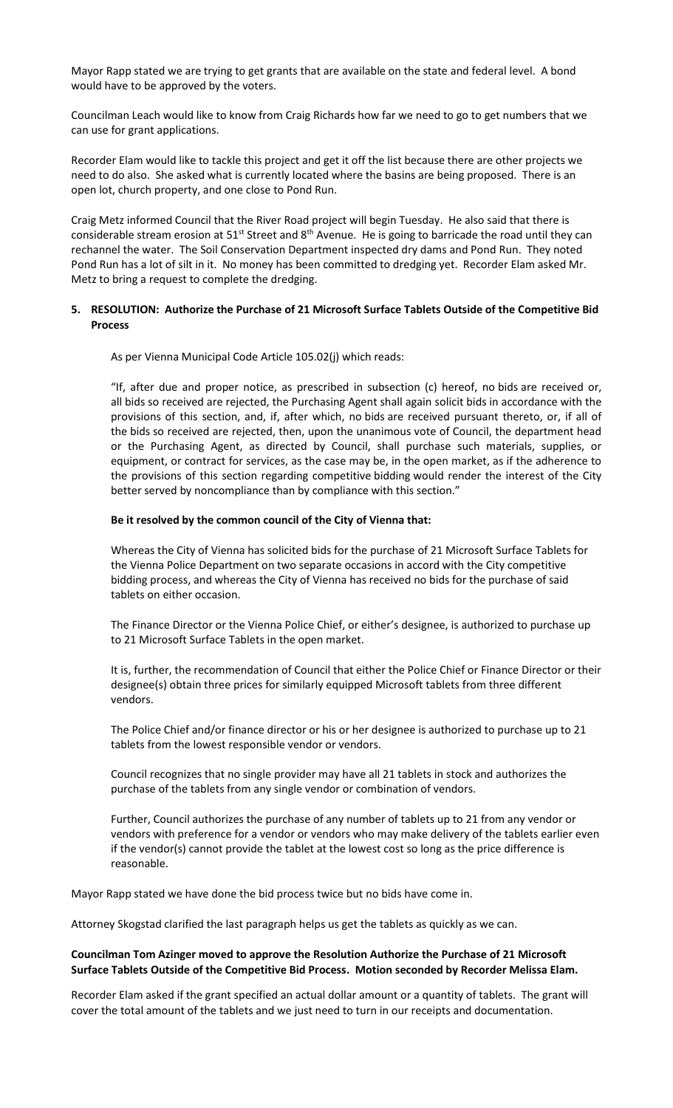Mayor Rapp stated we are trying to get grants that are available on the state and federal level. A bond would have to be approved by the voters.

Councilman Leach would like to know from Craig Richards how far we need to go to get numbers that we can use for grant applications.

Recorder Elam would like to tackle this project and get it off the list because there are other projects we need to do also. She asked what is currently located where the basins are being proposed. There is an open lot, church property, and one close to Pond Run.

Craig Metz informed Council that the River Road project will begin Tuesday. He also said that there is considerable stream erosion at  $51^{st}$  Street and  $8^{th}$  Avenue. He is going to barricade the road until they can rechannel the water. The Soil Conservation Department inspected dry dams and Pond Run. They noted Pond Run has a lot of silt in it. No money has been committed to dredging yet. Recorder Elam asked Mr. Metz to bring a request to complete the dredging.

## **5. RESOLUTION: Authorize the Purchase of 21 Microsoft Surface Tablets Outside of the Competitive Bid Process**

As per Vienna Municipal Code Article 105.02(j) which reads:

"If, after due and proper notice, as prescribed in subsection (c) hereof, no bids are received or, all bids so received are rejected, the Purchasing Agent shall again solicit bids in accordance with the provisions of this section, and, if, after which, no bids are received pursuant thereto, or, if all of the bids so received are rejected, then, upon the unanimous vote of Council, the department head or the Purchasing Agent, as directed by Council, shall purchase such materials, supplies, or equipment, or contract for services, as the case may be, in the open market, as if the adherence to the provisions of this section regarding competitive bidding would render the interest of the City better served by noncompliance than by compliance with this section."

#### **Be it resolved by the common council of the City of Vienna that:**

Whereas the City of Vienna has solicited bids for the purchase of 21 Microsoft Surface Tablets for the Vienna Police Department on two separate occasions in accord with the City competitive bidding process, and whereas the City of Vienna has received no bids for the purchase of said tablets on either occasion.

The Finance Director or the Vienna Police Chief, or either's designee, is authorized to purchase up to 21 Microsoft Surface Tablets in the open market.

It is, further, the recommendation of Council that either the Police Chief or Finance Director or their designee(s) obtain three prices for similarly equipped Microsoft tablets from three different vendors.

The Police Chief and/or finance director or his or her designee is authorized to purchase up to 21 tablets from the lowest responsible vendor or vendors.

Council recognizes that no single provider may have all 21 tablets in stock and authorizes the purchase of the tablets from any single vendor or combination of vendors.

Further, Council authorizes the purchase of any number of tablets up to 21 from any vendor or vendors with preference for a vendor or vendors who may make delivery of the tablets earlier even if the vendor(s) cannot provide the tablet at the lowest cost so long as the price difference is reasonable.

Mayor Rapp stated we have done the bid process twice but no bids have come in.

Attorney Skogstad clarified the last paragraph helps us get the tablets as quickly as we can.

## **Councilman Tom Azinger moved to approve the Resolution Authorize the Purchase of 21 Microsoft Surface Tablets Outside of the Competitive Bid Process. Motion seconded by Recorder Melissa Elam.**

Recorder Elam asked if the grant specified an actual dollar amount or a quantity of tablets. The grant will cover the total amount of the tablets and we just need to turn in our receipts and documentation.